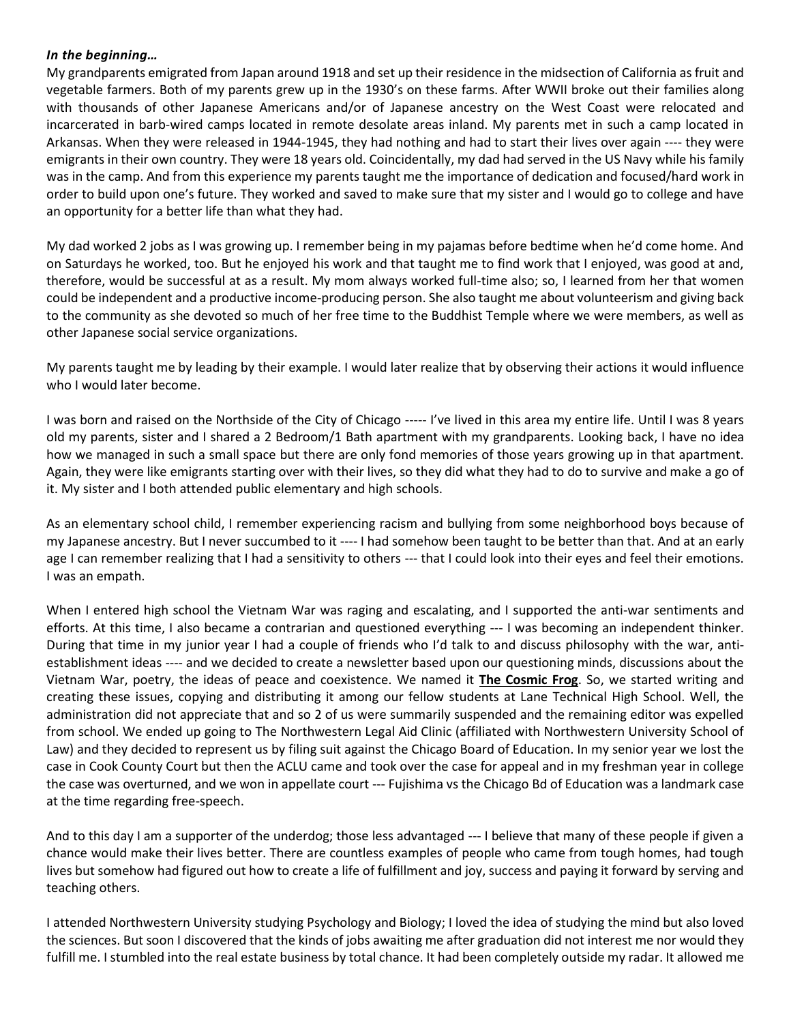## *In the beginning…*

My grandparents emigrated from Japan around 1918 and set up their residence in the midsection of California as fruit and vegetable farmers. Both of my parents grew up in the 1930's on these farms. After WWII broke out their families along with thousands of other Japanese Americans and/or of Japanese ancestry on the West Coast were relocated and incarcerated in barb-wired camps located in remote desolate areas inland. My parents met in such a camp located in Arkansas. When they were released in 1944-1945, they had nothing and had to start their lives over again ---- they were emigrants in their own country. They were 18 years old. Coincidentally, my dad had served in the US Navy while his family was in the camp. And from this experience my parents taught me the importance of dedication and focused/hard work in order to build upon one's future. They worked and saved to make sure that my sister and I would go to college and have an opportunity for a better life than what they had.

My dad worked 2 jobs as I was growing up. I remember being in my pajamas before bedtime when he'd come home. And on Saturdays he worked, too. But he enjoyed his work and that taught me to find work that I enjoyed, was good at and, therefore, would be successful at as a result. My mom always worked full-time also; so, I learned from her that women could be independent and a productive income-producing person. She also taught me about volunteerism and giving back to the community as she devoted so much of her free time to the Buddhist Temple where we were members, as well as other Japanese social service organizations.

My parents taught me by leading by their example. I would later realize that by observing their actions it would influence who I would later become.

I was born and raised on the Northside of the City of Chicago ----- I've lived in this area my entire life. Until I was 8 years old my parents, sister and I shared a 2 Bedroom/1 Bath apartment with my grandparents. Looking back, I have no idea how we managed in such a small space but there are only fond memories of those years growing up in that apartment. Again, they were like emigrants starting over with their lives, so they did what they had to do to survive and make a go of it. My sister and I both attended public elementary and high schools.

As an elementary school child, I remember experiencing racism and bullying from some neighborhood boys because of my Japanese ancestry. But I never succumbed to it ---- I had somehow been taught to be better than that. And at an early age I can remember realizing that I had a sensitivity to others --- that I could look into their eyes and feel their emotions. I was an empath.

When I entered high school the Vietnam War was raging and escalating, and I supported the anti-war sentiments and efforts. At this time, I also became a contrarian and questioned everything --- I was becoming an independent thinker. During that time in my junior year I had a couple of friends who I'd talk to and discuss philosophy with the war, antiestablishment ideas ---- and we decided to create a newsletter based upon our questioning minds, discussions about the Vietnam War, poetry, the ideas of peace and coexistence. We named it **The Cosmic Frog**. So, we started writing and creating these issues, copying and distributing it among our fellow students at Lane Technical High School. Well, the administration did not appreciate that and so 2 of us were summarily suspended and the remaining editor was expelled from school. We ended up going to The Northwestern Legal Aid Clinic (affiliated with Northwestern University School of Law) and they decided to represent us by filing suit against the Chicago Board of Education. In my senior year we lost the case in Cook County Court but then the ACLU came and took over the case for appeal and in my freshman year in college the case was overturned, and we won in appellate court --- Fujishima vs the Chicago Bd of Education was a landmark case at the time regarding free-speech.

And to this day I am a supporter of the underdog; those less advantaged --- I believe that many of these people if given a chance would make their lives better. There are countless examples of people who came from tough homes, had tough lives but somehow had figured out how to create a life of fulfillment and joy, success and paying it forward by serving and teaching others.

I attended Northwestern University studying Psychology and Biology; I loved the idea of studying the mind but also loved the sciences. But soon I discovered that the kinds of jobs awaiting me after graduation did not interest me nor would they fulfill me. I stumbled into the real estate business by total chance. It had been completely outside my radar. It allowed me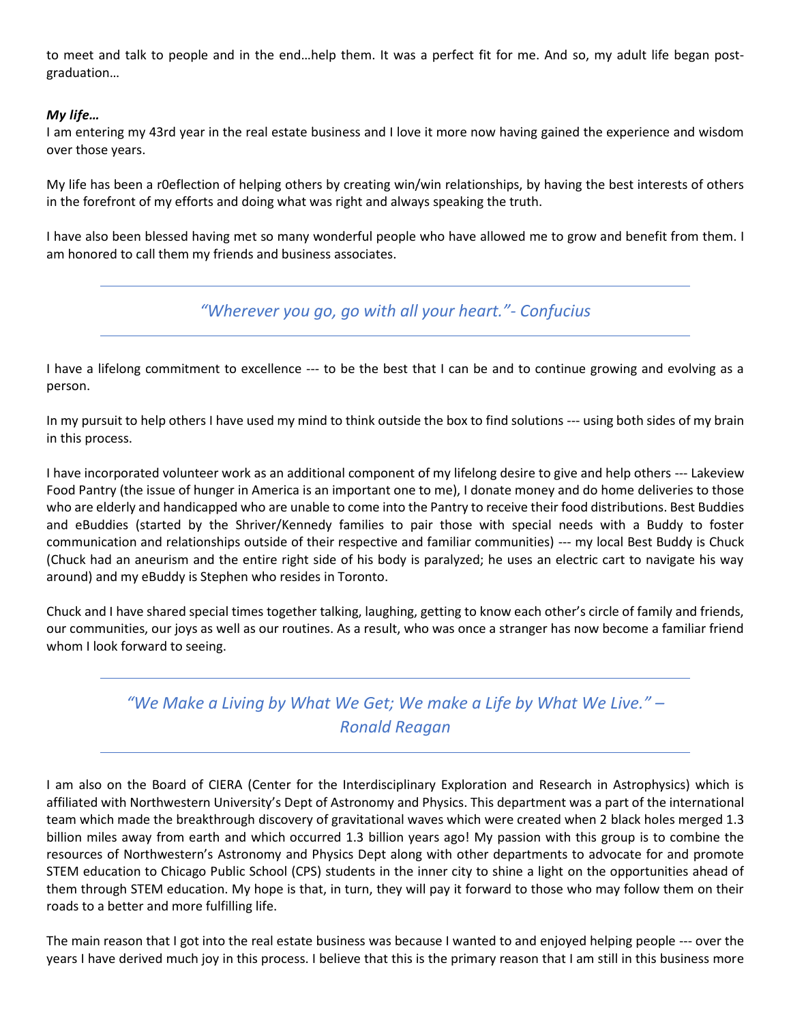to meet and talk to people and in the end…help them. It was a perfect fit for me. And so, my adult life began postgraduation…

## *My life…*

I am entering my 43rd year in the real estate business and I love it more now having gained the experience and wisdom over those years.

My life has been a r0eflection of helping others by creating win/win relationships, by having the best interests of others in the forefront of my efforts and doing what was right and always speaking the truth.

I have also been blessed having met so many wonderful people who have allowed me to grow and benefit from them. I am honored to call them my friends and business associates.

*"Wherever you go, go with all your heart."- Confucius*

I have a lifelong commitment to excellence --- to be the best that I can be and to continue growing and evolving as a person.

In my pursuit to help others I have used my mind to think outside the box to find solutions --- using both sides of my brain in this process.

I have incorporated volunteer work as an additional component of my lifelong desire to give and help others --- Lakeview Food Pantry (the issue of hunger in America is an important one to me), I donate money and do home deliveries to those who are elderly and handicapped who are unable to come into the Pantry to receive their food distributions. Best Buddies and eBuddies (started by the Shriver/Kennedy families to pair those with special needs with a Buddy to foster communication and relationships outside of their respective and familiar communities) --- my local Best Buddy is Chuck (Chuck had an aneurism and the entire right side of his body is paralyzed; he uses an electric cart to navigate his way around) and my eBuddy is Stephen who resides in Toronto.

Chuck and I have shared special times together talking, laughing, getting to know each other's circle of family and friends, our communities, our joys as well as our routines. As a result, who was once a stranger has now become a familiar friend whom I look forward to seeing.

## *"We Make a Living by What We Get; We make a Life by What We Live." – Ronald Reagan*

I am also on the Board of CIERA (Center for the Interdisciplinary Exploration and Research in Astrophysics) which is affiliated with Northwestern University's Dept of Astronomy and Physics. This department was a part of the international team which made the breakthrough discovery of gravitational waves which were created when 2 black holes merged 1.3 billion miles away from earth and which occurred 1.3 billion years ago! My passion with this group is to combine the resources of Northwestern's Astronomy and Physics Dept along with other departments to advocate for and promote STEM education to Chicago Public School (CPS) students in the inner city to shine a light on the opportunities ahead of them through STEM education. My hope is that, in turn, they will pay it forward to those who may follow them on their roads to a better and more fulfilling life.

The main reason that I got into the real estate business was because I wanted to and enjoyed helping people --- over the years I have derived much joy in this process. I believe that this is the primary reason that I am still in this business more